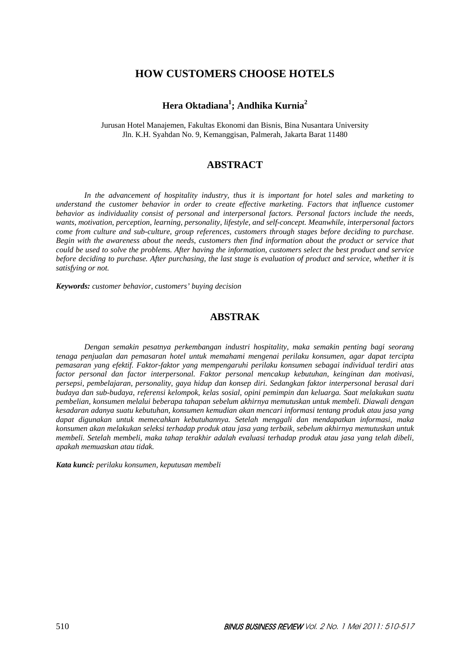# **HOW CUSTOMERS CHOOSE HOTELS**

# **Hera Oktadiana1 ; Andhika Kurnia2**

Jurusan Hotel Manajemen, Fakultas Ekonomi dan Bisnis, Bina Nusantara University Jln. K.H. Syahdan No. 9, Kemanggisan, Palmerah, Jakarta Barat 11480

# **ABSTRACT**

*In the advancement of hospitality industry, thus it is important for hotel sales and marketing to understand the customer behavior in order to create effective marketing. Factors that influence customer behavior as individuality consist of personal and interpersonal factors. Personal factors include the needs, wants, motivation, perception, learning, personality, lifestyle, and self-concept. Meanwhile, interpersonal factors come from culture and sub-culture, group references, customers through stages before deciding to purchase. Begin with the awareness about the needs, customers then find information about the product or service that could be used to solve the problems. After having the information, customers select the best product and service before deciding to purchase. After purchasing, the last stage is evaluation of product and service, whether it is satisfying or not.* 

*Keywords: customer behavior, customers' buying decision* 

## **ABSTRAK**

*Dengan semakin pesatnya perkembangan industri hospitality, maka semakin penting bagi seorang tenaga penjualan dan pemasaran hotel untuk memahami mengenai perilaku konsumen, agar dapat tercipta pemasaran yang efektif. Faktor-faktor yang mempengaruhi perilaku konsumen sebagai individual terdiri atas factor personal dan factor interpersonal. Faktor personal mencakup kebutuhan, keinginan dan motivasi, persepsi, pembelajaran, personality, gaya hidup dan konsep diri. Sedangkan faktor interpersonal berasal dari budaya dan sub-budaya, referensi kelompok, kelas sosial, opini pemimpin dan keluarga. Saat melakukan suatu pembelian, konsumen melalui beberapa tahapan sebelum akhirnya memutuskan untuk membeli. Diawali dengan kesadaran adanya suatu kebutuhan, konsumen kemudian akan mencari informasi tentang produk atau jasa yang dapat digunakan untuk memecahkan kebutuhannya. Setelah menggali dan mendapatkan informasi, maka konsumen akan melakukan seleksi terhadap produk atau jasa yang terbaik, sebelum akhirnya memutuskan untuk membeli. Setelah membeli, maka tahap terakhir adalah evaluasi terhadap produk atau jasa yang telah dibeli, apakah memuaskan atau tidak.* 

*Kata kunci: perilaku konsumen, keputusan membeli*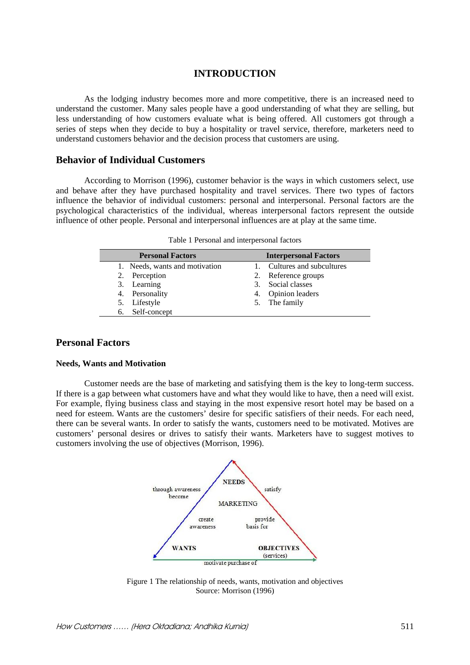## **INTRODUCTION**

As the lodging industry becomes more and more competitive, there is an increased need to understand the customer. Many sales people have a good understanding of what they are selling, but less understanding of how customers evaluate what is being offered. All customers got through a series of steps when they decide to buy a hospitality or travel service, therefore, marketers need to understand customers behavior and the decision process that customers are using.

## **Behavior of Individual Customers**

According to Morrison (1996), customer behavior is the ways in which customers select, use and behave after they have purchased hospitality and travel services. There two types of factors influence the behavior of individual customers: personal and interpersonal. Personal factors are the psychological characteristics of the individual, whereas interpersonal factors represent the outside influence of other people. Personal and interpersonal influences are at play at the same time.

Table 1 Personal and interpersonal factors

| <b>Personal Factors</b>        | <b>Interpersonal Factors</b> |
|--------------------------------|------------------------------|
| 1. Needs, wants and motivation | 1. Cultures and subcultures  |
| 2. Perception                  | 2. Reference groups          |
| 3. Learning                    | Social classes<br>3.         |
| 4. Personality                 | 4. Opinion leaders           |
| 5. Lifestyle                   | 5. The family                |
| 6. Self-concept                |                              |

# **Personal Factors**

#### **Needs, Wants and Motivation**

Customer needs are the base of marketing and satisfying them is the key to long-term success. If there is a gap between what customers have and what they would like to have, then a need will exist. For example, flying business class and staying in the most expensive resort hotel may be based on a need for esteem. Wants are the customers' desire for specific satisfiers of their needs. For each need, there can be several wants. In order to satisfy the wants, customers need to be motivated. Motives are customers' personal desires or drives to satisfy their wants. Marketers have to suggest motives to customers involving the use of objectives (Morrison, 1996).



Figure 1 The relationship of needs, wants, motivation and objectives Source: Morrison (1996)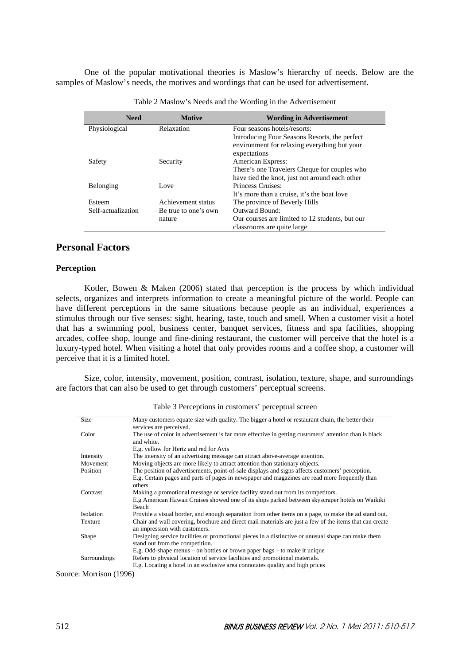One of the popular motivational theories is Maslow's hierarchy of needs. Below are the samples of Maslow's needs, the motives and wordings that can be used for advertisement.

| <b>Need</b>        | <b>Motive</b>        | <b>Wording in Advertisement</b>                 |
|--------------------|----------------------|-------------------------------------------------|
| Physiological      | Relaxation           | Four seasons hotels/resorts:                    |
|                    |                      | Introducing Four Seasons Resorts, the perfect   |
|                    |                      | environment for relaxing everything but your    |
|                    |                      | expectations                                    |
| Safety             | Security             | American Express:                               |
|                    |                      | There's one Travelers Cheque for couples who    |
|                    |                      | have tied the knot, just not around each other  |
| Belonging          | Love                 | Princess Cruises:                               |
|                    |                      | It's more than a cruise, it's the boat love     |
| Esteem             | Achievement status   | The province of Beverly Hills                   |
| Self-actualization | Be true to one's own | Outward Bound:                                  |
|                    | nature               | Our courses are limited to 12 students, but our |
|                    |                      | classrooms are quite large                      |

| Table 2 Maslow's Needs and the Wording in the Advertisement |  |  |  |
|-------------------------------------------------------------|--|--|--|
|                                                             |  |  |  |
|                                                             |  |  |  |

# **Personal Factors**

### **Perception**

Kotler, Bowen & Maken (2006) stated that perception is the process by which individual selects, organizes and interprets information to create a meaningful picture of the world. People can have different perceptions in the same situations because people as an individual, experiences a stimulus through our five senses: sight, hearing, taste, touch and smell. When a customer visit a hotel that has a swimming pool, business center, banquet services, fitness and spa facilities, shopping arcades, coffee shop, lounge and fine-dining restaurant, the customer will perceive that the hotel is a luxury-typed hotel. When visiting a hotel that only provides rooms and a coffee shop, a customer will perceive that it is a limited hotel.

Size, color, intensity, movement, position, contrast, isolation, texture, shape, and surroundings are factors that can also be used to get through customers' perceptual screens.

| <b>Size</b>  | Many customers equate size with quality. The bigger a hotel or restaurant chain, the better their       |
|--------------|---------------------------------------------------------------------------------------------------------|
|              | services are perceived.                                                                                 |
| Color        | The use of color in advertisement is far more effective in getting customers' attention than is black   |
|              | and white.                                                                                              |
|              | E.g. yellow for Hertz and red for Avis                                                                  |
| Intensity    | The intensity of an advertising message can attract above-average attention.                            |
| Movement     | Moving objects are more likely to attract attention than stationary objects.                            |
| Position     | The position of advertisements, point-of-sale displays and signs affects customers' perception.         |
|              | E.g. Certain pages and parts of pages in newspaper and magazines are read more frequently than          |
|              | others                                                                                                  |
| Contrast     | Making a promotional message or service facility stand out from its competitors.                        |
|              | E.g American Hawaii Cruises showed one of its ships parked between skyscraper hotels on Waikiki         |
|              | <b>Beach</b>                                                                                            |
| Isolation    | Provide a visual border, and enough separation from other items on a page, to make the ad stand out.    |
| Texture      | Chair and wall covering, brochure and direct mail materials are just a few of the items that can create |
|              | an impression with customers.                                                                           |
| Shape        | Designing service facilities or promotional pieces in a distinctive or unusual shape can make them      |
|              | stand out from the competition.                                                                         |
|              | E.g. Odd-shape menus - on bottles or brown paper bags - to make it unique                               |
| Surroundings | Refers to physical location of service facilities and promotional materials.                            |
|              | E.g. Locating a hotel in an exclusive area connotates quality and high prices                           |

| Table 3 Perceptions in customers' perceptual screen |  |  |  |  |
|-----------------------------------------------------|--|--|--|--|
|-----------------------------------------------------|--|--|--|--|

Source: Morrison (1996)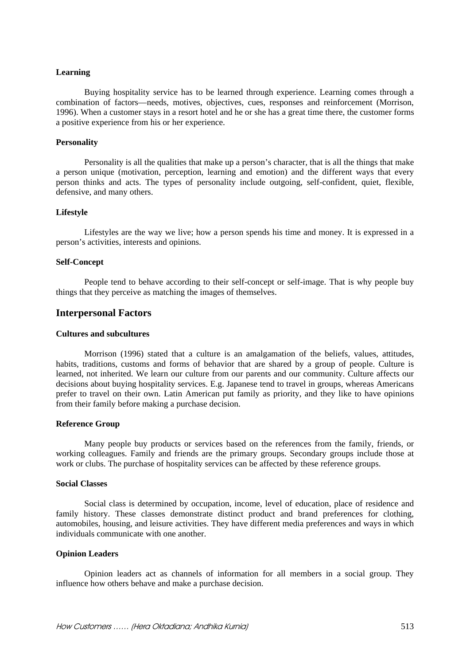#### **Learning**

Buying hospitality service has to be learned through experience. Learning comes through a combination of factors—needs, motives, objectives, cues, responses and reinforcement (Morrison, 1996). When a customer stays in a resort hotel and he or she has a great time there, the customer forms a positive experience from his or her experience.

### **Personality**

Personality is all the qualities that make up a person's character, that is all the things that make a person unique (motivation, perception, learning and emotion) and the different ways that every person thinks and acts. The types of personality include outgoing, self-confident, quiet, flexible, defensive, and many others.

#### **Lifestyle**

Lifestyles are the way we live; how a person spends his time and money. It is expressed in a person's activities, interests and opinions.

#### **Self-Concept**

People tend to behave according to their self-concept or self-image. That is why people buy things that they perceive as matching the images of themselves.

### **Interpersonal Factors**

### **Cultures and subcultures**

Morrison (1996) stated that a culture is an amalgamation of the beliefs, values, attitudes, habits, traditions, customs and forms of behavior that are shared by a group of people. Culture is learned, not inherited. We learn our culture from our parents and our community. Culture affects our decisions about buying hospitality services. E.g. Japanese tend to travel in groups, whereas Americans prefer to travel on their own. Latin American put family as priority, and they like to have opinions from their family before making a purchase decision.

#### **Reference Group**

Many people buy products or services based on the references from the family, friends, or working colleagues. Family and friends are the primary groups. Secondary groups include those at work or clubs. The purchase of hospitality services can be affected by these reference groups.

#### **Social Classes**

Social class is determined by occupation, income, level of education, place of residence and family history. These classes demonstrate distinct product and brand preferences for clothing, automobiles, housing, and leisure activities. They have different media preferences and ways in which individuals communicate with one another.

### **Opinion Leaders**

Opinion leaders act as channels of information for all members in a social group. They influence how others behave and make a purchase decision.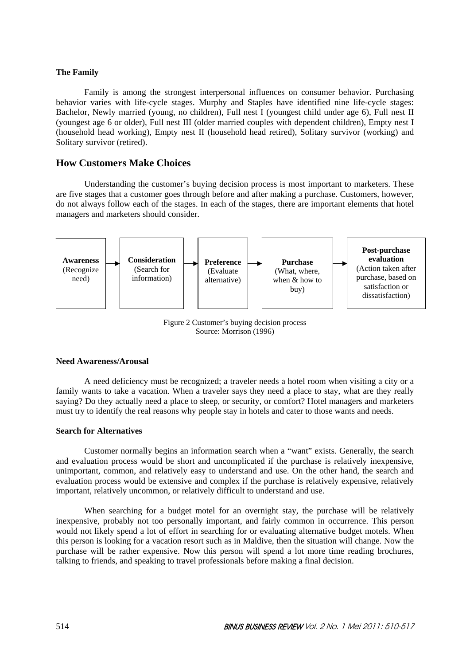### **The Family**

Family is among the strongest interpersonal influences on consumer behavior. Purchasing behavior varies with life-cycle stages. Murphy and Staples have identified nine life-cycle stages: Bachelor, Newly married (young, no children), Full nest I (youngest child under age 6), Full nest II (youngest age 6 or older), Full nest III (older married couples with dependent children), Empty nest I (household head working), Empty nest II (household head retired), Solitary survivor (working) and Solitary survivor (retired).

### **How Customers Make Choices**

Understanding the customer's buying decision process is most important to marketers. These are five stages that a customer goes through before and after making a purchase. Customers, however, do not always follow each of the stages. In each of the stages, there are important elements that hotel managers and marketers should consider.



Figure 2 Customer's buying decision process Source: Morrison (1996)

### **Need Awareness/Arousal**

A need deficiency must be recognized; a traveler needs a hotel room when visiting a city or a family wants to take a vacation. When a traveler says they need a place to stay, what are they really saying? Do they actually need a place to sleep, or security, or comfort? Hotel managers and marketers must try to identify the real reasons why people stay in hotels and cater to those wants and needs.

### **Search for Alternatives**

Customer normally begins an information search when a "want" exists. Generally, the search and evaluation process would be short and uncomplicated if the purchase is relatively inexpensive, unimportant, common, and relatively easy to understand and use. On the other hand, the search and evaluation process would be extensive and complex if the purchase is relatively expensive, relatively important, relatively uncommon, or relatively difficult to understand and use.

When searching for a budget motel for an overnight stay, the purchase will be relatively inexpensive, probably not too personally important, and fairly common in occurrence. This person would not likely spend a lot of effort in searching for or evaluating alternative budget motels. When this person is looking for a vacation resort such as in Maldive, then the situation will change. Now the purchase will be rather expensive. Now this person will spend a lot more time reading brochures, talking to friends, and speaking to travel professionals before making a final decision.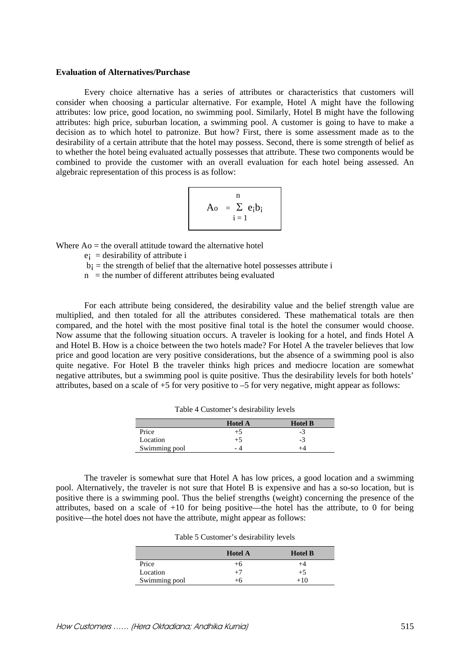#### **Evaluation of Alternatives/Purchase**

Every choice alternative has a series of attributes or characteristics that customers will consider when choosing a particular alternative. For example, Hotel A might have the following attributes: low price, good location, no swimming pool. Similarly, Hotel B might have the following attributes: high price, suburban location, a swimming pool. A customer is going to have to make a decision as to which hotel to patronize. But how? First, there is some assessment made as to the desirability of a certain attribute that the hotel may possess. Second, there is some strength of belief as to whether the hotel being evaluated actually possesses that attribute. These two components would be combined to provide the customer with an overall evaluation for each hotel being assessed. An algebraic representation of this process is as follow:

$$
A_0 = \sum_{i=1}^n e_i b_i
$$

Where  $A_0$  = the overall attitude toward the alternative hotel

- $\mathbf{e}$ <sub>i</sub> = desirability of attribute i
- $b<sub>i</sub>$  = the strength of belief that the alternative hotel possesses attribute i
- $n =$  the number of different attributes being evaluated

 For each attribute being considered, the desirability value and the belief strength value are multiplied, and then totaled for all the attributes considered. These mathematical totals are then compared, and the hotel with the most positive final total is the hotel the consumer would choose. Now assume that the following situation occurs. A traveler is looking for a hotel, and finds Hotel A and Hotel B. How is a choice between the two hotels made? For Hotel A the traveler believes that low price and good location are very positive considerations, but the absence of a swimming pool is also quite negative. For Hotel B the traveler thinks high prices and mediocre location are somewhat negative attributes, but a swimming pool is quite positive. Thus the desirability levels for both hotels' attributes, based on a scale of +5 for very positive to –5 for very negative, might appear as follows:

|               | <b>Hotel A</b> | <b>Hotel B</b> |
|---------------|----------------|----------------|
| Price         | ר.+            | - 3            |
| Location      | $+5$           | -3             |
| Swimming pool |                |                |

Table 4 Customer's desirability levels

 The traveler is somewhat sure that Hotel A has low prices, a good location and a swimming pool. Alternatively, the traveler is not sure that Hotel B is expensive and has a so-so location, but is positive there is a swimming pool. Thus the belief strengths (weight) concerning the presence of the attributes, based on a scale of +10 for being positive—the hotel has the attribute, to 0 for being positive—the hotel does not have the attribute, might appear as follows:

|               | <b>Hotel A</b> | <b>Hotel B</b> |
|---------------|----------------|----------------|
| Price         | $+6$           | $^{+4}$        |
| Location      | $+7$           | $+5$           |
| Swimming pool | +6             | $^{+10}$       |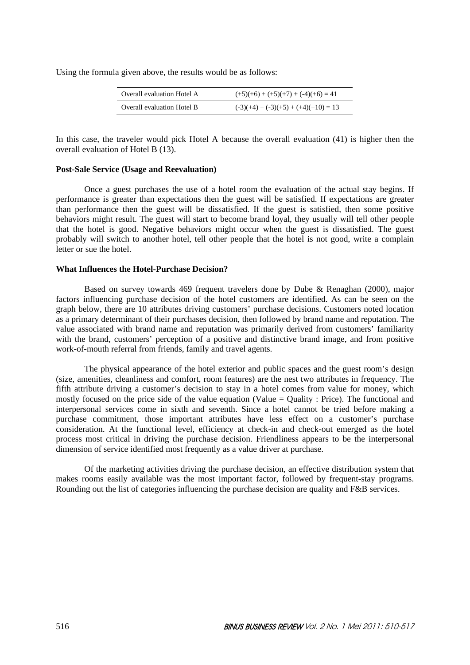Using the formula given above, the results would be as follows:

| Overall evaluation Hotel A        | $(+5)(+6) + (+5)(+7) + (-4)(+6) = 41$  |
|-----------------------------------|----------------------------------------|
| <b>Overall evaluation Hotel B</b> | $(-3)(+4) + (-3)(+5) + (+4)(+10) = 13$ |

In this case, the traveler would pick Hotel A because the overall evaluation (41) is higher then the overall evaluation of Hotel B (13).

#### **Post-Sale Service (Usage and Reevaluation)**

Once a guest purchases the use of a hotel room the evaluation of the actual stay begins. If performance is greater than expectations then the guest will be satisfied. If expectations are greater than performance then the guest will be dissatisfied. If the guest is satisfied, then some positive behaviors might result. The guest will start to become brand loyal, they usually will tell other people that the hotel is good. Negative behaviors might occur when the guest is dissatisfied. The guest probably will switch to another hotel, tell other people that the hotel is not good, write a complain letter or sue the hotel.

### **What Influences the Hotel-Purchase Decision?**

Based on survey towards 469 frequent travelers done by Dube & Renaghan (2000), major factors influencing purchase decision of the hotel customers are identified. As can be seen on the graph below, there are 10 attributes driving customers' purchase decisions. Customers noted location as a primary determinant of their purchases decision, then followed by brand name and reputation. The value associated with brand name and reputation was primarily derived from customers' familiarity with the brand, customers' perception of a positive and distinctive brand image, and from positive work-of-mouth referral from friends, family and travel agents.

The physical appearance of the hotel exterior and public spaces and the guest room's design (size, amenities, cleanliness and comfort, room features) are the nest two attributes in frequency. The fifth attribute driving a customer's decision to stay in a hotel comes from value for money, which mostly focused on the price side of the value equation (Value = Quality : Price). The functional and interpersonal services come in sixth and seventh. Since a hotel cannot be tried before making a purchase commitment, those important attributes have less effect on a customer's purchase consideration. At the functional level, efficiency at check-in and check-out emerged as the hotel process most critical in driving the purchase decision. Friendliness appears to be the interpersonal dimension of service identified most frequently as a value driver at purchase.

Of the marketing activities driving the purchase decision, an effective distribution system that makes rooms easily available was the most important factor, followed by frequent-stay programs. Rounding out the list of categories influencing the purchase decision are quality and F&B services.